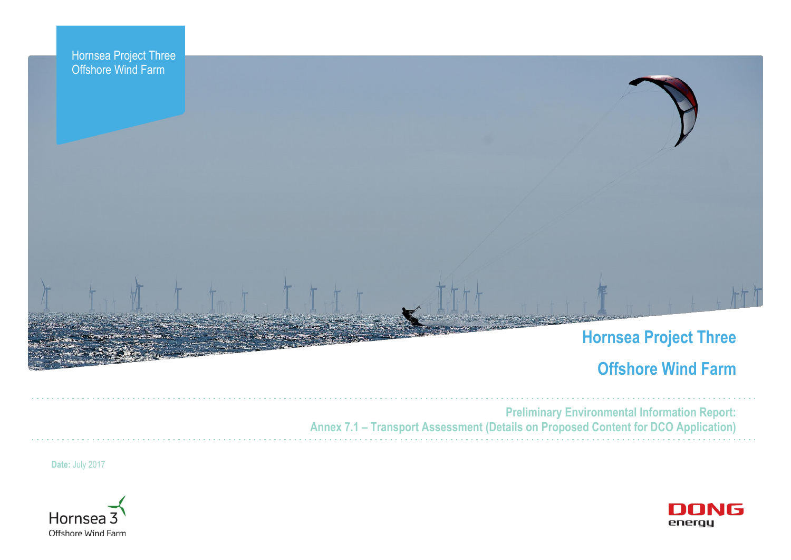



# **Offshore Wind Farm**



**Preliminary Environmental Information Report: Annex 7.1 – Transport Assessment (Details on Proposed Content for DCO Application)**

**Date:** July 2017

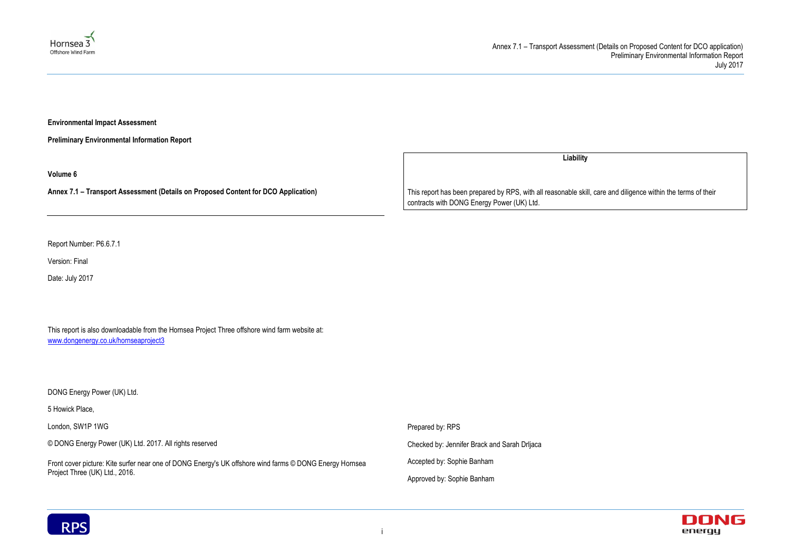



**Environmental Impact Assessment** 

**Preliminary Environmental Information Report**

**Volume 6**

**Annex 7.1 – Transport Assessment (Details on Proposed Content for DCO Application)**

Report Number: P6.6.7.1

Version: Final

Date: July 2017

This report is also downloadable from the Hornsea Project Three offshore wind farm website at: [www.dongenergy.co.uk/hornseaproject3](http://www.dongenergy.co.uk/hornseaproject3)

DONG Energy Power (UK) Ltd.

5 Howick Place,

London, SW1P 1WG

© DONG Energy Power (UK) Ltd. 2017. All rights reserved

Front cover picture: Kite surfer near one of DONG Energy's UK offshore wind farms © DONG Energy Hornsea Project Three (UK) Ltd., 2016.

**Liability**

This report has been prepared by RPS, with all reasonable skill, care and diligence within the terms of their contracts with DONG Energy Power (UK) Ltd.

Prepared by: RPS

Checked by: Jennifer Brack and Sarah Drljaca

Accepted by: Sophie Banham

Approved by: Sophie Banham

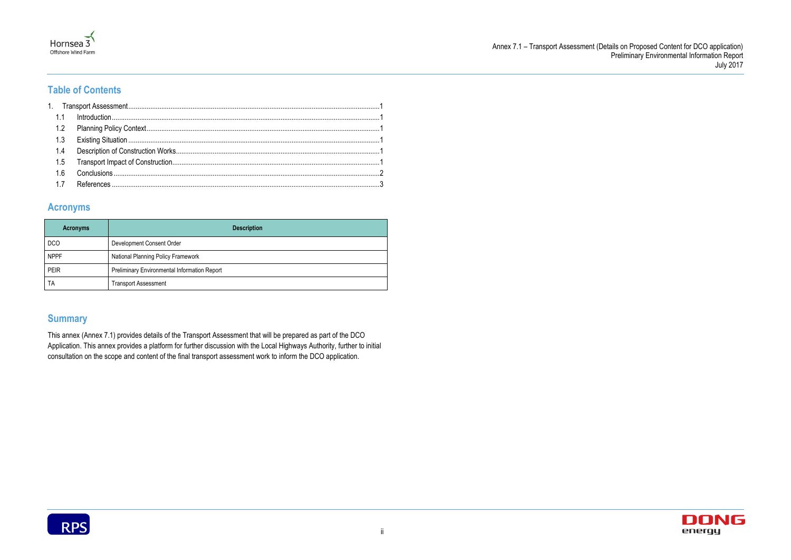



# **Table of Contents**

### **Acronyms**

| <b>Acronyms</b> | <b>Description</b>                           |
|-----------------|----------------------------------------------|
| <b>DCO</b>      | Development Consent Order                    |
| <b>NPPF</b>     | National Planning Policy Framework           |
| <b>PEIR</b>     | Preliminary Environmental Information Report |
| TA              | <b>Transport Assessment</b>                  |

# **Summary**

This annex (Annex 7.1) provides details of the Transport Assessment that will be prepared as part of the DCO Application. This annex provides a platform for further discussion with the Local Highways Authority, further to initial consultation on the scope and content of the final transport assessment work to inform the DCO application.

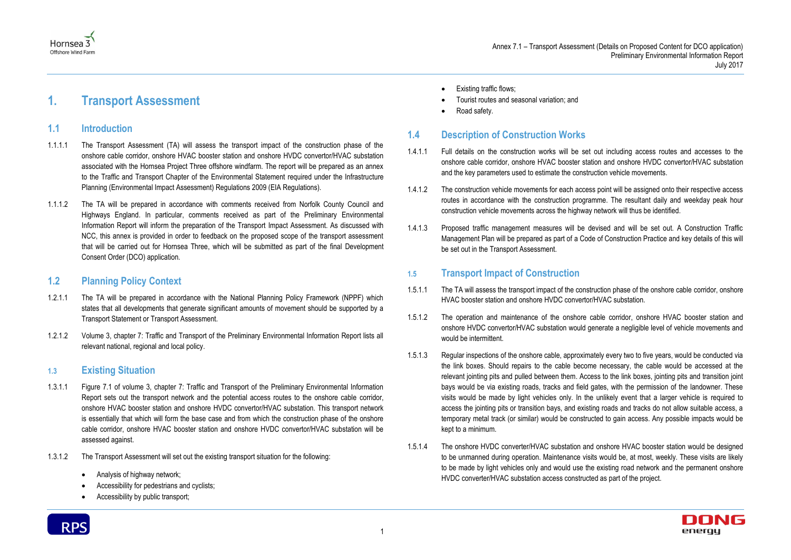





# <span id="page-3-0"></span>**1. Transport Assessment**

#### <span id="page-3-1"></span>**1.1 Introduction**

- 1.1.1.1 The Transport Assessment (TA) will assess the transport impact of the construction phase of the onshore cable corridor, onshore HVAC booster station and onshore HVDC convertor/HVAC substation associated with the Hornsea Project Three offshore windfarm. The report will be prepared as an annex to the Traffic and Transport Chapter of the Environmental Statement required under the Infrastructure Planning (Environmental Impact Assessment) Regulations 2009 (EIA Regulations).
- 1.1.1.2 The TA will be prepared in accordance with comments received from Norfolk County Council and Highways England. In particular, comments received as part of the Preliminary Environmental Information Report will inform the preparation of the Transport Impact Assessment. As discussed with NCC, this annex is provided in order to feedback on the proposed scope of the transport assessment that will be carried out for Hornsea Three, which will be submitted as part of the final Development Consent Order (DCO) application.

#### <span id="page-3-2"></span>**1.2 Planning Policy Context**

- 1.2.1.1 The TA will be prepared in accordance with the National Planning Policy Framework (NPPF) which states that all developments that generate significant amounts of movement should be supported by a Transport Statement or Transport Assessment.
- 1.2.1.2 Volume 3, chapter 7: Traffic and Transport of the Preliminary Environmental Information Report lists all relevant national, regional and local policy.

#### <span id="page-3-3"></span>**1.3 Existing Situation**

- 1.3.1.1 Figure 7.1 of volume 3, chapter 7: Traffic and Transport of the Preliminary Environmental Information Report sets out the transport network and the potential access routes to the onshore cable corridor, onshore HVAC booster station and onshore HVDC convertor/HVAC substation. This transport network is essentially that which will form the base case and from which the construction phase of the onshore cable corridor, onshore HVAC booster station and onshore HVDC convertor/HVAC substation will be assessed against.
- 1.3.1.2 The Transport Assessment will set out the existing transport situation for the following:
	- Analysis of highway network;
	- Accessibility for pedestrians and cyclists;
	- Accessibility by public transport;



- Existing traffic flows;
- Tourist routes and seasonal variation; and
- Road safety.

# <span id="page-3-4"></span>**1.4 Description of Construction Works**

- 1.4.1.1 Full details on the construction works will be set out including access routes and accesses to the onshore cable corridor, onshore HVAC booster station and onshore HVDC convertor/HVAC substation and the key parameters used to estimate the construction vehicle movements.
- 1.4.1.2 The construction vehicle movements for each access point will be assigned onto their respective access routes in accordance with the construction programme. The resultant daily and weekday peak hour construction vehicle movements across the highway network will thus be identified.
- 1.4.1.3 Proposed traffic management measures will be devised and will be set out. A Construction Traffic Management Plan will be prepared as part of a Code of Construction Practice and key details of this will be set out in the Transport Assessment.

## <span id="page-3-5"></span>**1.5 Transport Impact of Construction**

- 1.5.1.1 The TA will assess the transport impact of the construction phase of the onshore cable corridor, onshore HVAC booster station and onshore HVDC convertor/HVAC substation.
- 1.5.1.2 The operation and maintenance of the onshore cable corridor, onshore HVAC booster station and onshore HVDC convertor/HVAC substation would generate a negligible level of vehicle movements and would be intermittent.
- 1.5.1.3 Regular inspections of the onshore cable, approximately every two to five years, would be conducted via the link boxes. Should repairs to the cable become necessary, the cable would be accessed at the relevant jointing pits and pulled between them. Access to the link boxes, jointing pits and transition joint bays would be via existing roads, tracks and field gates, with the permission of the landowner. These visits would be made by light vehicles only. In the unlikely event that a larger vehicle is required to access the jointing pits or transition bays, and existing roads and tracks do not allow suitable access, a temporary metal track (or similar) would be constructed to gain access. Any possible impacts would be kept to a minimum.
- 1.5.1.4 The onshore HVDC converter/HVAC substation and onshore HVAC booster station would be designed to be unmanned during operation. Maintenance visits would be, at most, weekly. These visits are likely to be made by light vehicles only and would use the existing road network and the permanent onshore HVDC converter/HVAC substation access constructed as part of the project.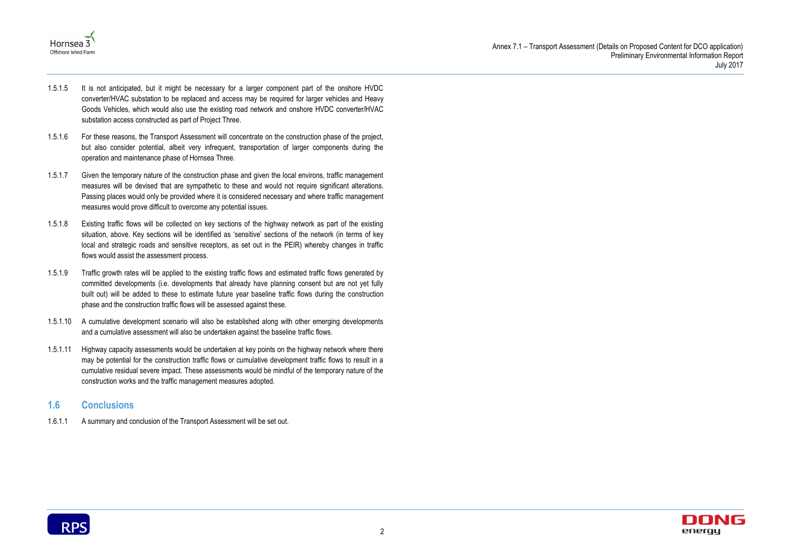



- 1.5.1.5 It is not anticipated, but it might be necessary for a larger component part of the onshore HVDC converter/HVAC substation to be replaced and access may be required for larger vehicles and Heavy Goods Vehicles, which would also use the existing road network and onshore HVDC converter/HVAC substation access constructed as part of Project Three.
- 1.5.1.6 For these reasons, the Transport Assessment will concentrate on the construction phase of the project, but also consider potential, albeit very infrequent, transportation of larger components during the operation and maintenance phase of Hornsea Three.
- 1.5.1.7 Given the temporary nature of the construction phase and given the local environs, traffic management measures will be devised that are sympathetic to these and would not require significant alterations. Passing places would only be provided where it is considered necessary and where traffic management measures would prove difficult to overcome any potential issues.
- 1.5.1.8 Existing traffic flows will be collected on key sections of the highway network as part of the existing situation, above. Key sections will be identified as 'sensitive' sections of the network (in terms of key local and strategic roads and sensitive receptors, as set out in the PEIR) whereby changes in traffic flows would assist the assessment process.
- 1.5.1.9 Traffic growth rates will be applied to the existing traffic flows and estimated traffic flows generated by committed developments (i.e. developments that already have planning consent but are not yet fully built out) will be added to these to estimate future year baseline traffic flows during the construction phase and the construction traffic flows will be assessed against these.
- 1.5.1.10 A cumulative development scenario will also be established along with other emerging developments and a cumulative assessment will also be undertaken against the baseline traffic flows.
- 1.5.1.11 Highway capacity assessments would be undertaken at key points on the highway network where there may be potential for the construction traffic flows or cumulative development traffic flows to result in a cumulative residual severe impact. These assessments would be mindful of the temporary nature of the construction works and the traffic management measures adopted.

#### <span id="page-4-0"></span>**1.6 Conclusions**

1.6.1.1 A summary and conclusion of the Transport Assessment will be set out.